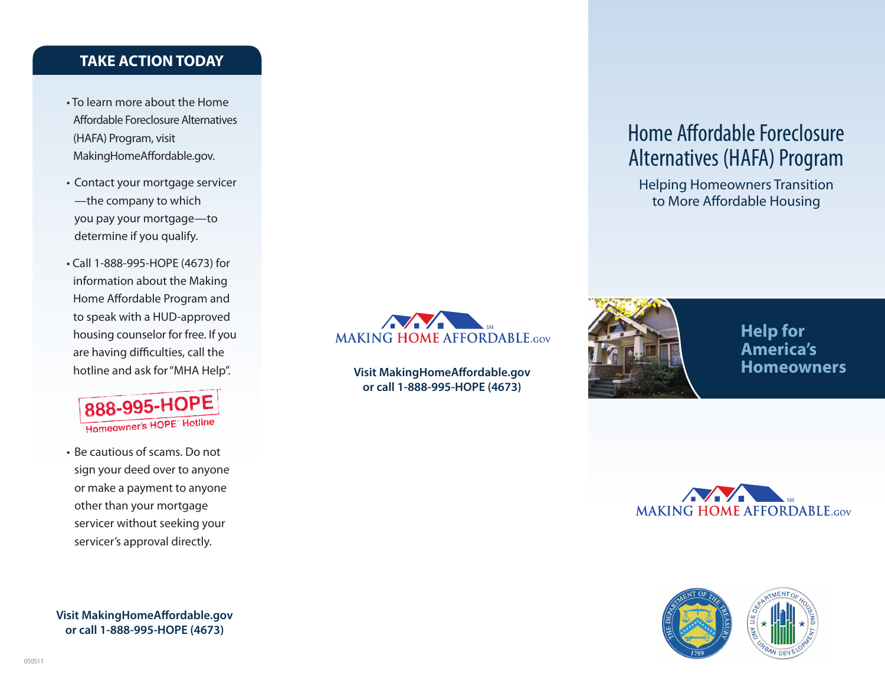# **TAKE ACTION TODAY**

- To learn more about the Home Affordable Foreclosure Alternatives (HAFA) Program, visit MakingHomeAffordable.gov.
- Contact your mortgage servicer —the company to which you pay your mortgage—to determine if you qualify.
- Call 1-888-995-HOPE (4673) for information about the Making Home Affordable Program and to speak with a HUD-approved housing counselor for free. If you are having difficulties, call the hotline and ask for "MHA Help".



• Be cautious of scams. Do not sign your deed over to anyone or make a payment to anyone other than your mortgage servicer without seeking your servicer's approval directly.

**Visit MakingHomeAffordable.gov or call 1-888-995-HOPE (4673)**



**Visit MakingHomeAffordable.gov or call 1-888-995-HOPE (4673)**

# Home Affordable Foreclosure Alternatives (HAFA) Program

Helping Homeowners Transition to More Affordable Housing



**Help for America's Homeowners**